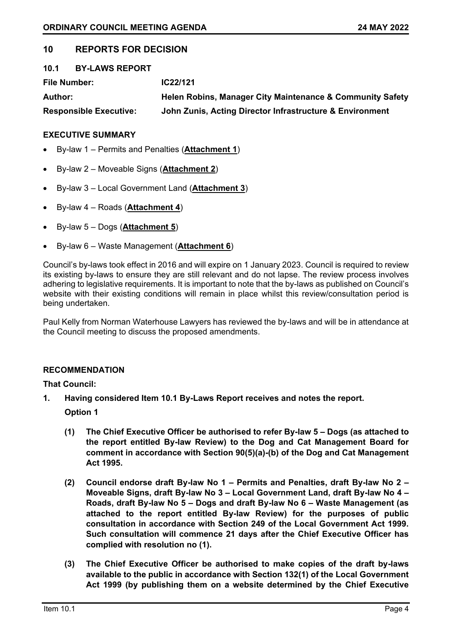# **10 REPORTS FOR DECISION**

| 10.1                | <b>BY-LAWS REPORT</b>         |                                                           |
|---------------------|-------------------------------|-----------------------------------------------------------|
| <b>File Number:</b> |                               | IC22/121                                                  |
| <b>Author:</b>      |                               | Helen Robins, Manager City Maintenance & Community Safety |
|                     | <b>Responsible Executive:</b> | John Zunis, Acting Director Infrastructure & Environment  |

# **EXECUTIVE SUMMARY**

- By-law 1 Permits and Penalties (**Attachment 1**)
- By-law 2 Moveable Signs (**Attachment 2**)
- By-law 3 Local Government Land (**Attachment 3**)
- By-law 4 Roads (**Attachment 4**)
- By-law 5 Dogs (**Attachment 5**)
- By-law 6 Waste Management (**Attachment 6**)

Council's by-laws took effect in 2016 and will expire on 1 January 2023. Council is required to review its existing by-laws to ensure they are still relevant and do not lapse. The review process involves adhering to legislative requirements. It is important to note that the by-laws as published on Council's website with their existing conditions will remain in place whilst this review/consultation period is being undertaken.

Paul Kelly from Norman Waterhouse Lawyers has reviewed the by-laws and will be in attendance at the Council meeting to discuss the proposed amendments.

# **RECOMMENDATION**

**That Council:**

**1. Having considered Item 10.1 By-Laws Report receives and notes the report.**

**Option 1**

- **(1) The Chief Executive Officer be authorised to refer By-law 5 – Dogs (as attached to the report entitled By-law Review) to the Dog and Cat Management Board for comment in accordance with Section 90(5)(a)-(b) of the Dog and Cat Management Act 1995.**
- **(2) Council endorse draft By-law No 1 – Permits and Penalties, draft By-law No 2 – Moveable Signs, draft By-law No 3 – Local Government Land, draft By-law No 4 – Roads, draft By-law No 5 – Dogs and draft By-law No 6 – Waste Management (as attached to the report entitled By-law Review) for the purposes of public consultation in accordance with Section 249 of the Local Government Act 1999. Such consultation will commence 21 days after the Chief Executive Officer has complied with resolution no (1).**
- **(3) The Chief Executive Officer be authorised to make copies of the draft by-laws available to the public in accordance with Section 132(1) of the Local Government Act 1999 (by publishing them on a website determined by the Chief Executive**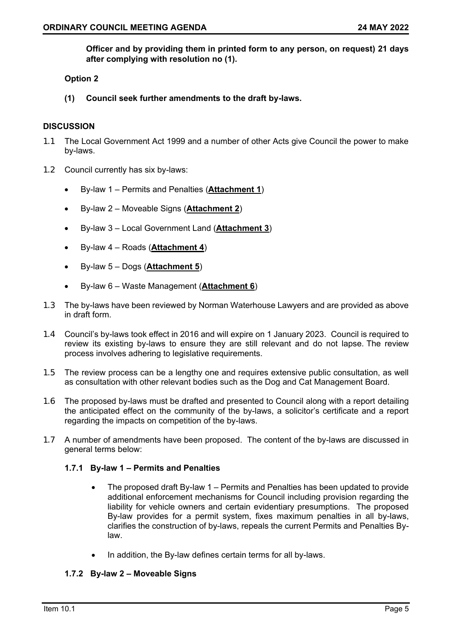**Officer and by providing them in printed form to any person, on request) 21 days after complying with resolution no (1).**

# **Option 2**

**(1) Council seek further amendments to the draft by-laws.**

# **DISCUSSION**

- 1.1 The Local Government Act 1999 and a number of other Acts give Council the power to make by-laws.
- 1.2 Council currently has six by-laws:
	- By-law 1 Permits and Penalties (**Attachment 1**)
	- By-law 2 Moveable Signs (**Attachment 2**)
	- By-law 3 Local Government Land (**Attachment 3**)
	- By-law 4 Roads (**Attachment 4**)
	- By-law 5 Dogs (**Attachment 5**)
	- By-law 6 Waste Management (**Attachment 6**)
- 1.3 The by-laws have been reviewed by Norman Waterhouse Lawyers and are provided as above in draft form.
- 1.4 Council's by-laws took effect in 2016 and will expire on 1 January 2023. Council is required to review its existing by-laws to ensure they are still relevant and do not lapse. The review process involves adhering to legislative requirements.
- 1.5 The review process can be a lengthy one and requires extensive public consultation, as well as consultation with other relevant bodies such as the Dog and Cat Management Board.
- 1.6 The proposed by-laws must be drafted and presented to Council along with a report detailing the anticipated effect on the community of the by-laws, a solicitor's certificate and a report regarding the impacts on competition of the by-laws.
- 1.7 A number of amendments have been proposed. The content of the by-laws are discussed in general terms below:

# **1.7.1 By-law 1 – Permits and Penalties**

- The proposed draft By-law 1 Permits and Penalties has been updated to provide additional enforcement mechanisms for Council including provision regarding the liability for vehicle owners and certain evidentiary presumptions. The proposed By-law provides for a permit system, fixes maximum penalties in all by-laws, clarifies the construction of by-laws, repeals the current Permits and Penalties Bylaw.
- In addition, the By-law defines certain terms for all by-laws.

# **1.7.2 By-law 2 – Moveable Signs**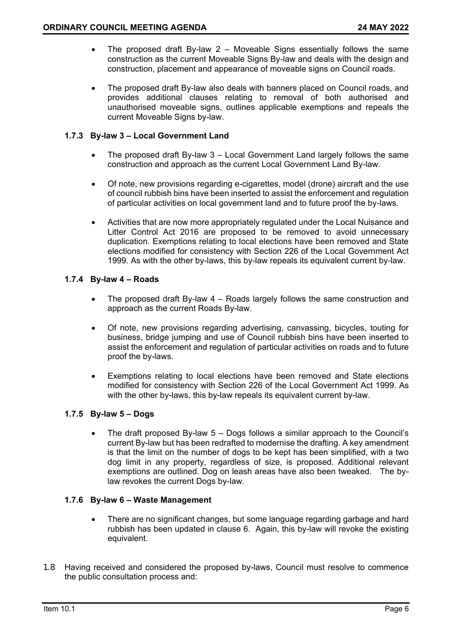- The proposed draft By-law 2 Moveable Signs essentially follows the same construction as the current Moveable Signs By-law and deals with the design and construction, placement and appearance of moveable signs on Council roads.
- The proposed draft By-law also deals with banners placed on Council roads, and provides additional clauses relating to removal of both authorised and unauthorised moveable signs, outlines applicable exemptions and repeals the current Moveable Signs by-law.

# **1.7.3 By-law 3 – Local Government Land**

- The proposed draft By-law 3 Local Government Land largely follows the same construction and approach as the current Local Government Land By-law.
- Of note, new provisions regarding e-cigarettes, model (drone) aircraft and the use of council rubbish bins have been inserted to assist the enforcement and regulation of particular activities on local government land and to future proof the by-laws.
- Activities that are now more appropriately regulated under the Local Nuisance and Litter Control Act 2016 are proposed to be removed to avoid unnecessary duplication. Exemptions relating to local elections have been removed and State elections modified for consistency with Section 226 of the Local Government Act 1999. As with the other by-laws, this by-law repeals its equivalent current by-law.

# **1.7.4 By-law 4 – Roads**

- The proposed draft By-law 4 Roads largely follows the same construction and approach as the current Roads By-law.
- Of note, new provisions regarding advertising, canvassing, bicycles, touting for business, bridge jumping and use of Council rubbish bins have been inserted to assist the enforcement and regulation of particular activities on roads and to future proof the by-laws.
- Exemptions relating to local elections have been removed and State elections modified for consistency with Section 226 of the Local Government Act 1999. As with the other by-laws, this by-law repeals its equivalent current by-law.

# **1.7.5 By-law 5 – Dogs**

• The draft proposed By-law 5 – Dogs follows a similar approach to the Council's current By-law but has been redrafted to modernise the drafting. A key amendment is that the limit on the number of dogs to be kept has been simplified, with a two dog limit in any property, regardless of size, is proposed. Additional relevant exemptions are outlined. Dog on leash areas have also been tweaked. The bylaw revokes the current Dogs by-law.

# **1.7.6 By-law 6 – Waste Management**

- There are no significant changes, but some language regarding garbage and hard rubbish has been updated in clause 6. Again, this by-law will revoke the existing equivalent.
- 1.8 Having received and considered the proposed by-laws, Council must resolve to commence the public consultation process and: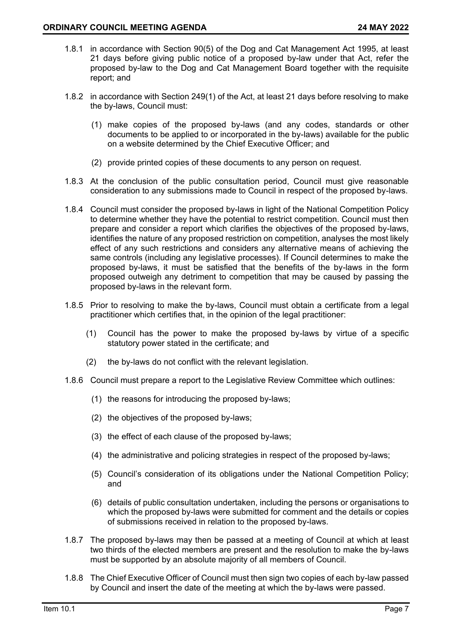- 1.8.1 in accordance with Section 90(5) of the Dog and Cat Management Act 1995, at least 21 days before giving public notice of a proposed by-law under that Act, refer the proposed by-law to the Dog and Cat Management Board together with the requisite report; and
- 1.8.2 in accordance with Section 249(1) of the Act, at least 21 days before resolving to make the by-laws, Council must:
	- (1) make copies of the proposed by-laws (and any codes, standards or other documents to be applied to or incorporated in the by-laws) available for the public on a website determined by the Chief Executive Officer; and
	- (2) provide printed copies of these documents to any person on request.
- 1.8.3 At the conclusion of the public consultation period, Council must give reasonable consideration to any submissions made to Council in respect of the proposed by-laws.
- 1.8.4 Council must consider the proposed by-laws in light of the National Competition Policy to determine whether they have the potential to restrict competition. Council must then prepare and consider a report which clarifies the objectives of the proposed by-laws, identifies the nature of any proposed restriction on competition, analyses the most likely effect of any such restrictions and considers any alternative means of achieving the same controls (including any legislative processes). If Council determines to make the proposed by-laws, it must be satisfied that the benefits of the by-laws in the form proposed outweigh any detriment to competition that may be caused by passing the proposed by-laws in the relevant form.
- 1.8.5 Prior to resolving to make the by-laws, Council must obtain a certificate from a legal practitioner which certifies that, in the opinion of the legal practitioner:
	- (1) Council has the power to make the proposed by-laws by virtue of a specific statutory power stated in the certificate; and
	- (2) the by-laws do not conflict with the relevant legislation.
- 1.8.6 Council must prepare a report to the Legislative Review Committee which outlines:
	- (1) the reasons for introducing the proposed by-laws;
	- (2) the objectives of the proposed by-laws;
	- (3) the effect of each clause of the proposed by-laws;
	- (4) the administrative and policing strategies in respect of the proposed by-laws;
	- (5) Council's consideration of its obligations under the National Competition Policy; and
	- (6) details of public consultation undertaken, including the persons or organisations to which the proposed by-laws were submitted for comment and the details or copies of submissions received in relation to the proposed by-laws.
- 1.8.7 The proposed by-laws may then be passed at a meeting of Council at which at least two thirds of the elected members are present and the resolution to make the by-laws must be supported by an absolute majority of all members of Council.
- 1.8.8 The Chief Executive Officer of Council must then sign two copies of each by-law passed by Council and insert the date of the meeting at which the by-laws were passed.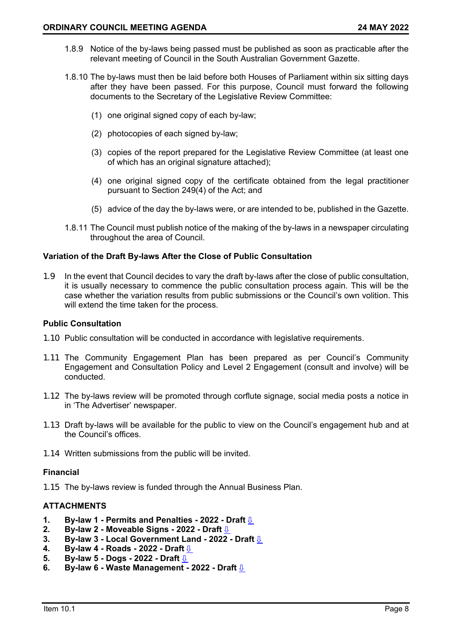- 1.8.9 Notice of the by-laws being passed must be published as soon as practicable after the relevant meeting of Council in the South Australian Government Gazette.
- 1.8.10 The by-laws must then be laid before both Houses of Parliament within six sitting days after they have been passed. For this purpose, Council must forward the following documents to the Secretary of the Legislative Review Committee:
	- (1) one original signed copy of each by-law;
	- (2) photocopies of each signed by-law;
	- (3) copies of the report prepared for the Legislative Review Committee (at least one of which has an original signature attached);
	- (4) one original signed copy of the certificate obtained from the legal practitioner pursuant to Section 249(4) of the Act; and
	- (5) advice of the day the by-laws were, or are intended to be, published in the Gazette.
- 1.8.11 The Council must publish notice of the making of the by-laws in a newspaper circulating throughout the area of Council.

### **Variation of the Draft By-laws After the Close of Public Consultation**

1.9 In the event that Council decides to vary the draft by-laws after the close of public consultation, it is usually necessary to commence the public consultation process again. This will be the case whether the variation results from public submissions or the Council's own volition. This will extend the time taken for the process.

### **Public Consultation**

- 1.10 Public consultation will be conducted in accordance with legislative requirements.
- 1.11 The Community Engagement Plan has been prepared as per Council's Community Engagement and Consultation Policy and Level 2 Engagement (consult and involve) will be conducted.
- 1.12 The by-laws review will be promoted through corflute signage, social media posts a notice in in 'The Advertiser' newspaper.
- 1.13 Draft by-laws will be available for the public to view on the Council's engagement hub and at the Council's offices.
- 1.14 Written submissions from the public will be invited.

### **Financial**

1.15 The by-laws review is funded through the Annual Business Plan.

### **ATTACHMENTS**

- **1. By-law 1 - Permits and Penalties - 2022 - Draft** [⇩](#page-5-0)
- **2. By-law 2 - Moveable Signs - 2022 - Draft** [⇩](#page-10-0)
- **3. By-law 3 Local Government Land 2022 Draft <u>↓</u><br>4. <b>By-law 4 Roads 2022 Draft** ↓
- **4. By-law 4 - Roads - 2022 - Draft** [⇩](#page-26-0)
- **5. By-law 5 Dogs 2022 Draft <u>↓</u><br>6. By-law 6 Waste Management -**
- **6. By-law 6 - Waste Management - 2022 - Draft** [⇩](#page-34-0)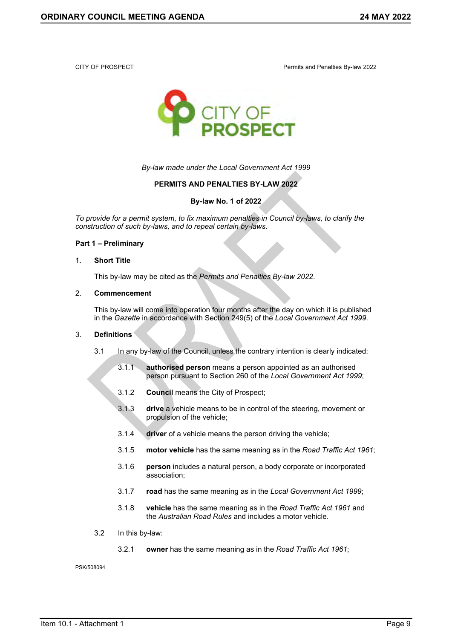<span id="page-5-0"></span>



*By-law made under the Local Government Act 1999*

### **PERMITS AND PENALTIES BY-LAW 2022**

**By-law No. 1 of 2022**

*To provide for a permit system, to fix maximum penalties in Council by-laws, to clarify the construction of such by-laws, and to repeal certain by-laws.*

# **Part 1 – Preliminary**

#### 1. **Short Title**

This by-law may be cited as the *Permits and Penalties By-law 2022*.

#### 2. **Commencement**

This by-law will come into operation four months after the day on which it is published in the *Gazette* in accordance with Section 249(5) of the *Local Government Act 1999*.

### 3. **Definitions**

- 3.1 In any by-law of the Council, unless the contrary intention is clearly indicated:
	- 3.1.1 **authorised person** means a person appointed as an authorised person pursuant to Section 260 of the *Local Government Act 1999*;
	- 3.1.2 **Council** means the City of Prospect;
	- 3.1.3 **drive** a vehicle means to be in control of the steering, movement or propulsion of the vehicle;
	- 3.1.4 **driver** of a vehicle means the person driving the vehicle;
	- 3.1.5 **motor vehicle** has the same meaning as in the *Road Traffic Act 1961*;
	- 3.1.6 **person** includes a natural person, a body corporate or incorporated association;
	- 3.1.7 **road** has the same meaning as in the *Local Government Act 1999*;
	- 3.1.8 **vehicle** has the same meaning as in the *Road Traffic Act 1961* and the *Australian Road Rules* and includes a motor vehicle.
- 3.2 In this by-law:
	- 3.2.1 **owner** has the same meaning as in the *Road Traffic Act 1961*;

PSK/508094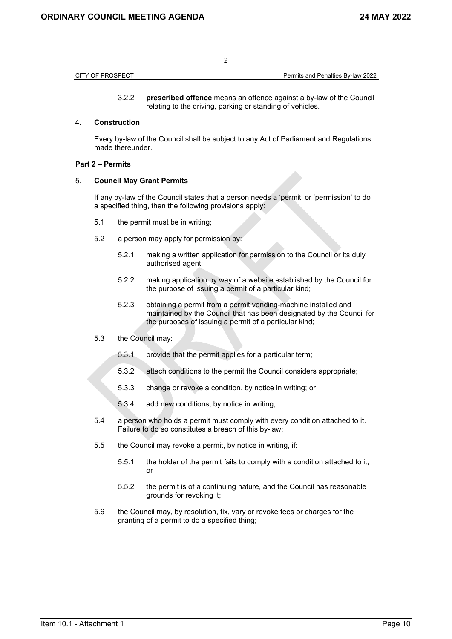| CITY OF PROSPECT | Permits and Penalties By-law 2022 |
|------------------|-----------------------------------|

3.2.2 **prescribed offence** means an offence against a by-law of the Council relating to the driving, parking or standing of vehicles.

### 4. **Construction**

Every by-law of the Council shall be subject to any Act of Parliament and Regulations made thereunder.

### **Part 2 – Permits**

### 5. **Council May Grant Permits**

If any by-law of the Council states that a person needs a 'permit' or 'permission' to do a specified thing, then the following provisions apply:

- 5.1 the permit must be in writing;
- 5.2 a person may apply for permission by:
	- 5.2.1 making a written application for permission to the Council or its duly authorised agent;
	- 5.2.2 making application by way of a website established by the Council for the purpose of issuing a permit of a particular kind;
	- 5.2.3 obtaining a permit from a permit vending-machine installed and maintained by the Council that has been designated by the Council for the purposes of issuing a permit of a particular kind;
- 5.3 the Council may:
	- 5.3.1 provide that the permit applies for a particular term;
	- 5.3.2 attach conditions to the permit the Council considers appropriate;
	- 5.3.3 change or revoke a condition, by notice in writing; or
	- 5.3.4 add new conditions, by notice in writing;
- 5.4 a person who holds a permit must comply with every condition attached to it. Failure to do so constitutes a breach of this by-law;
- 5.5 the Council may revoke a permit, by notice in writing, if:
	- 5.5.1 the holder of the permit fails to comply with a condition attached to it; or
	- 5.5.2 the permit is of a continuing nature, and the Council has reasonable grounds for revoking it;
- 5.6 the Council may, by resolution, fix, vary or revoke fees or charges for the granting of a permit to do a specified thing;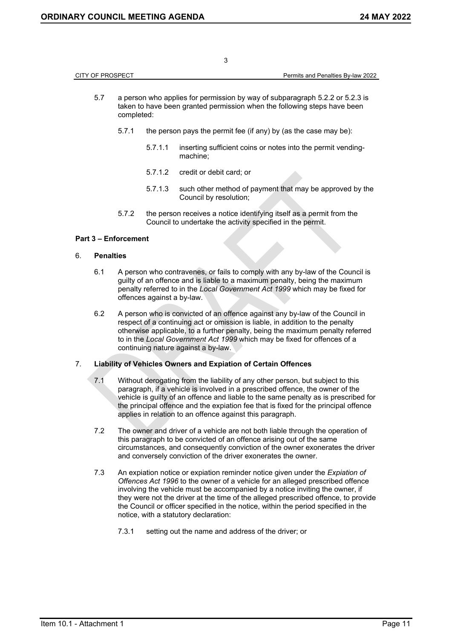| CITY OF PROSPECT | <b>Permits and Penalties By-law 2022</b> |
|------------------|------------------------------------------|
|                  |                                          |

- 5.7 a person who applies for permission by way of subparagraph 5.2.2 or 5.2.3 is taken to have been granted permission when the following steps have been completed:
	- 5.7.1 the person pays the permit fee (if any) by (as the case may be):
		- 5.7.1.1 inserting sufficient coins or notes into the permit vendingmachine;
		- 5.7.1.2 credit or debit card; or
		- 5.7.1.3 such other method of payment that may be approved by the Council by resolution;
	- 5.7.2 the person receives a notice identifying itself as a permit from the Council to undertake the activity specified in the permit.

### **Part 3 – Enforcement**

### 6. **Penalties**

- 6.1 A person who contravenes, or fails to comply with any by-law of the Council is guilty of an offence and is liable to a maximum penalty, being the maximum penalty referred to in the *Local Government Act 1999* which may be fixed for offences against a by-law.
- 6.2 A person who is convicted of an offence against any by-law of the Council in respect of a continuing act or omission is liable, in addition to the penalty otherwise applicable, to a further penalty, being the maximum penalty referred to in the *Local Government Act 1999* which may be fixed for offences of a continuing nature against a by-law.

### 7. **Liability of Vehicles Owners and Expiation of Certain Offences**

- 7.1 Without derogating from the liability of any other person, but subject to this paragraph, if a vehicle is involved in a prescribed offence, the owner of the vehicle is guilty of an offence and liable to the same penalty as is prescribed for the principal offence and the expiation fee that is fixed for the principal offence applies in relation to an offence against this paragraph.
- 7.2 The owner and driver of a vehicle are not both liable through the operation of this paragraph to be convicted of an offence arising out of the same circumstances, and consequently conviction of the owner exonerates the driver and conversely conviction of the driver exonerates the owner.
- 7.3 An expiation notice or expiation reminder notice given under the *Expiation of Offences Act 1996* to the owner of a vehicle for an alleged prescribed offence involving the vehicle must be accompanied by a notice inviting the owner, if they were not the driver at the time of the alleged prescribed offence, to provide the Council or officer specified in the notice, within the period specified in the notice, with a statutory declaration:
	- 7.3.1 setting out the name and address of the driver; or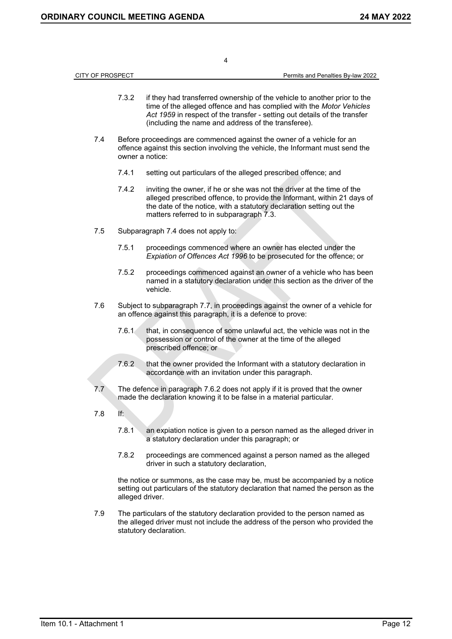|                  |                 | 4                                                                                                                                                                                                                                                                                    |                                   |
|------------------|-----------------|--------------------------------------------------------------------------------------------------------------------------------------------------------------------------------------------------------------------------------------------------------------------------------------|-----------------------------------|
| CITY OF PROSPECT |                 |                                                                                                                                                                                                                                                                                      | Permits and Penalties By-law 2022 |
|                  | 7.3.2           | if they had transferred ownership of the vehicle to another prior to the<br>time of the alleged offence and has complied with the Motor Vehicles<br>Act 1959 in respect of the transfer - setting out details of the transfer<br>(including the name and address of the transferee). |                                   |
| 7.4              | owner a notice: | Before proceedings are commenced against the owner of a vehicle for an<br>offence against this section involving the vehicle, the Informant must send the                                                                                                                            |                                   |
|                  | 7.4.1           | setting out particulars of the alleged prescribed offence; and                                                                                                                                                                                                                       |                                   |
|                  | 7.4.2           | inviting the owner, if he or she was not the driver at the time of the<br>alleged prescribed offence, to provide the Informant, within 21 days of<br>the date of the notice, with a statutory declaration setting out the<br>matters referred to in subparagraph 7.3.                |                                   |
| 7.5              |                 | Subparagraph 7.4 does not apply to:                                                                                                                                                                                                                                                  |                                   |
|                  | 7.5.1           | proceedings commenced where an owner has elected under the<br>Expiation of Offences Act 1996 to be prosecuted for the offence; or                                                                                                                                                    |                                   |
|                  | 7.5.2           | proceedings commenced against an owner of a vehicle who has been<br>named in a statutory declaration under this section as the driver of the<br>vehicle.                                                                                                                             |                                   |
| 7.6              |                 | Subject to subparagraph 7.7, in proceedings against the owner of a vehicle for<br>an offence against this paragraph, it is a defence to prove:                                                                                                                                       |                                   |
|                  | 7.6.1           | that, in consequence of some unlawful act, the vehicle was not in the<br>possession or control of the owner at the time of the alleged<br>prescribed offence; or                                                                                                                     |                                   |
|                  | 7.6.2           | that the owner provided the Informant with a statutory declaration in<br>accordance with an invitation under this paragraph.                                                                                                                                                         |                                   |
| 7.7              |                 | The defence in paragraph 7.6.2 does not apply if it is proved that the owner<br>made the declaration knowing it to be false in a material particular.                                                                                                                                |                                   |
| 7.8              | If:             |                                                                                                                                                                                                                                                                                      |                                   |
|                  | 7.8.1           | an explation notice is given to a person named as the alleged driver in<br>a statutory declaration under this paragraph; or                                                                                                                                                          |                                   |
|                  | 7.8.2           | proceedings are commenced against a person named as the alleged<br>driver in such a statutory declaration,                                                                                                                                                                           |                                   |
|                  | alleged driver. | the notice or summons, as the case may be, must be accompanied by a notice<br>setting out particulars of the statutory declaration that named the person as the                                                                                                                      |                                   |
| 7.9              |                 | The particulars of the statutory declaration provided to the person named as<br>the alleged driver must not include the address of the person who provided the<br>statutory declaration.                                                                                             |                                   |
|                  |                 |                                                                                                                                                                                                                                                                                      |                                   |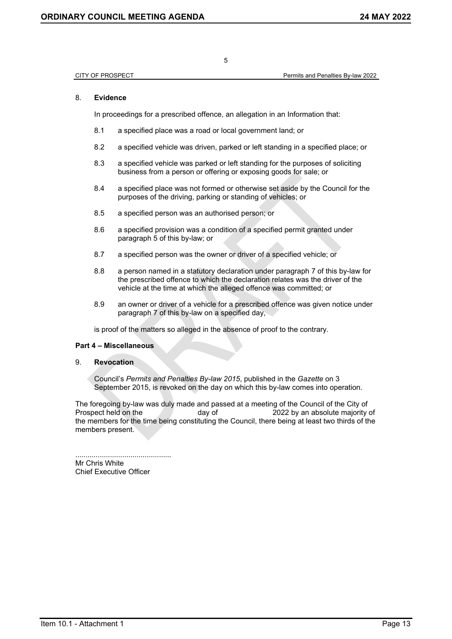CITY OF PROSPECT Permits and Penalties By-law 2022

### 8. **Evidence**

In proceedings for a prescribed offence, an allegation in an Information that:

- 8.1 a specified place was a road or local government land; or
- 8.2 a specified vehicle was driven, parked or left standing in a specified place; or
- 8.3 a specified vehicle was parked or left standing for the purposes of soliciting business from a person or offering or exposing goods for sale; or
- 8.4 a specified place was not formed or otherwise set aside by the Council for the purposes of the driving, parking or standing of vehicles; or
- 8.5 a specified person was an authorised person; or
- 8.6 a specified provision was a condition of a specified permit granted under paragraph 5 of this by-law; or
- 8.7 a specified person was the owner or driver of a specified vehicle; or
- 8.8 a person named in a statutory declaration under paragraph 7 of this by-law for the prescribed offence to which the declaration relates was the driver of the vehicle at the time at which the alleged offence was committed; or
- 8.9 an owner or driver of a vehicle for a prescribed offence was given notice under paragraph 7 of this by-law on a specified day,

is proof of the matters so alleged in the absence of proof to the contrary.

### **Part 4 – Miscellaneous**

#### 9. **Revocation**

Council's *Permits and Penalties By-law 2015*, published in the *Gazette* on 3 September 2015, is revoked on the day on which this by-law comes into operation.

The foregoing by-law was duly made and passed at a meeting of the Council of the City of Prospect held on the day of 2022 by an absolute majority of the members for the time being constituting the Council, there being at least two thirds of the members present.

............................................... Mr Chris White Chief Executive Officer

5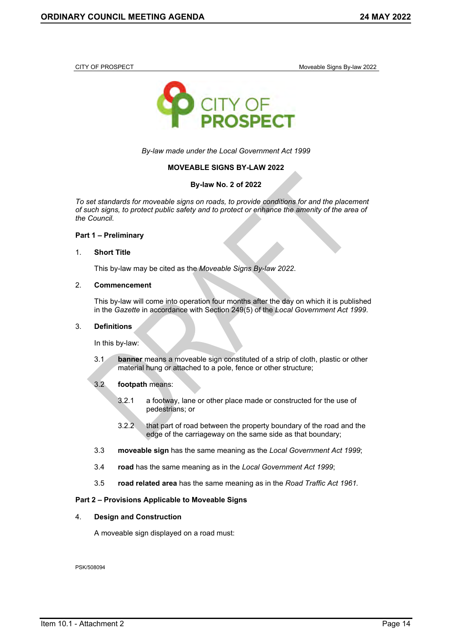<span id="page-10-0"></span>

CITY OF PROSPECT Moveable Signs By-law 2022



*By-law made under the Local Government Act 1999*

### **MOVEABLE SIGNS BY-LAW 2022**

### **By-law No. 2 of 2022**

*To set standards for moveable signs on roads, to provide conditions for and the placement of such signs, to protect public safety and to protect or enhance the amenity of the area of the Council.*

#### **Part 1 – Preliminary**

#### 1. **Short Title**

This by-law may be cited as the *Moveable Signs By-law 2022*.

#### 2. **Commencement**

This by-law will come into operation four months after the day on which it is published in the *Gazette* in accordance with Section 249(5) of the *Local Government Act 1999*.

#### 3. **Definitions**

In this by-law:

3.1 **banner** means a moveable sign constituted of a strip of cloth, plastic or other material hung or attached to a pole, fence or other structure;

### 3.2 **footpath** means:

- 3.2.1 a footway, lane or other place made or constructed for the use of pedestrians; or
- 3.2.2 that part of road between the property boundary of the road and the edge of the carriageway on the same side as that boundary;
- 3.3 **moveable sign** has the same meaning as the *Local Government Act 1999*;
- 3.4 **road** has the same meaning as in the *Local Government Act 1999*;
- 3.5 **road related area** has the same meaning as in the *Road Traffic Act 1961.*

### **Part 2 – Provisions Applicable to Moveable Signs**

#### 4. **Design and Construction**

A moveable sign displayed on a road must:

PSK/508094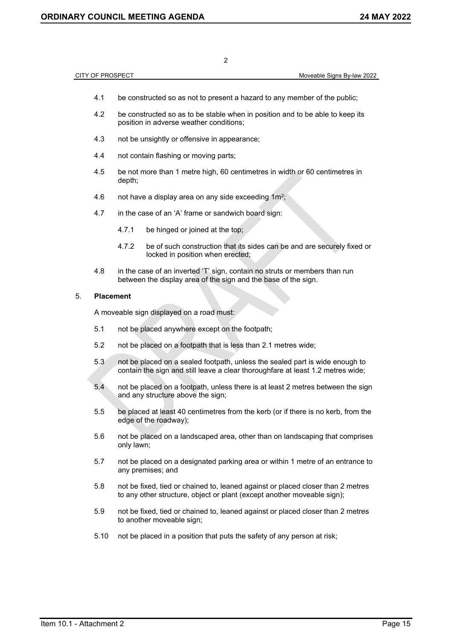- 4.1 be constructed so as not to present a hazard to any member of the public;
- 4.2 be constructed so as to be stable when in position and to be able to keep its position in adverse weather conditions;
- 4.3 not be unsightly or offensive in appearance;
- 4.4 not contain flashing or moving parts;
- 4.5 be not more than 1 metre high, 60 centimetres in width or 60 centimetres in depth;
- 4.6 not have a display area on any side exceeding 1m<sup>2</sup>;
- 4.7 in the case of an 'A' frame or sandwich board sign:
	- 4.7.1 be hinged or joined at the top;
	- 4.7.2 be of such construction that its sides can be and are securely fixed or locked in position when erected;
- 4.8 in the case of an inverted 'T' sign, contain no struts or members than run between the display area of the sign and the base of the sign.

#### 5. **Placement**

A moveable sign displayed on a road must:

- 5.1 not be placed anywhere except on the footpath;
- 5.2 not be placed on a footpath that is less than 2.1 metres wide;
- 5.3 not be placed on a sealed footpath, unless the sealed part is wide enough to contain the sign and still leave a clear thoroughfare at least 1.2 metres wide;
- 5.4 not be placed on a footpath, unless there is at least 2 metres between the sign and any structure above the sign;
- 5.5 be placed at least 40 centimetres from the kerb (or if there is no kerb, from the edge of the roadway);
- 5.6 not be placed on a landscaped area, other than on landscaping that comprises only lawn;
- 5.7 not be placed on a designated parking area or within 1 metre of an entrance to any premises; and
- 5.8 not be fixed, tied or chained to, leaned against or placed closer than 2 metres to any other structure, object or plant (except another moveable sign);
- 5.9 not be fixed, tied or chained to, leaned against or placed closer than 2 metres to another moveable sign:
- 5.10 not be placed in a position that puts the safety of any person at risk;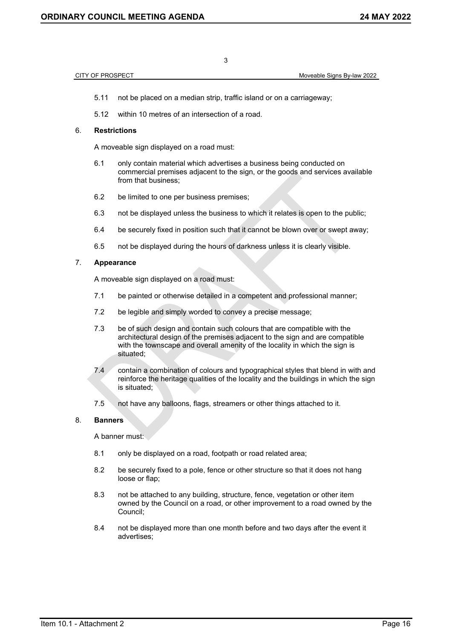### CITY OF PROSPECT **CITY OF PROSPECT Moveable Signs By-law 2022**

5.11 not be placed on a median strip, traffic island or on a carriageway;

3

5.12 within 10 metres of an intersection of a road.

#### 6. **Restrictions**

A moveable sign displayed on a road must:

- 6.1 only contain material which advertises a business being conducted on commercial premises adjacent to the sign, or the goods and services available from that business;
- 6.2 be limited to one per business premises;
- 6.3 not be displayed unless the business to which it relates is open to the public;
- 6.4 be securely fixed in position such that it cannot be blown over or swept away;
- 6.5 not be displayed during the hours of darkness unless it is clearly visible.

### 7. **Appearance**

A moveable sign displayed on a road must:

- 7.1 be painted or otherwise detailed in a competent and professional manner;
- 7.2 be legible and simply worded to convey a precise message;
- 7.3 be of such design and contain such colours that are compatible with the architectural design of the premises adjacent to the sign and are compatible with the townscape and overall amenity of the locality in which the sign is situated;
- 7.4 contain a combination of colours and typographical styles that blend in with and reinforce the heritage qualities of the locality and the buildings in which the sign is situated;
- 7.5 not have any balloons, flags, streamers or other things attached to it.

### 8. **Banners**

A banner must:

- 8.1 only be displayed on a road, footpath or road related area;
- 8.2 be securely fixed to a pole, fence or other structure so that it does not hang loose or flap;
- 8.3 not be attached to any building, structure, fence, vegetation or other item owned by the Council on a road, or other improvement to a road owned by the Council;
- 8.4 not be displayed more than one month before and two days after the event it advertises;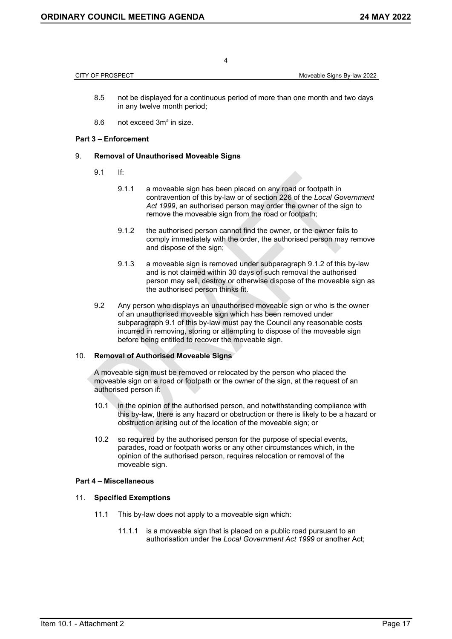CITY OF PROSPECT **CITY OF PROSPECT CITY OF PROSPECT** 

- 8.5 not be displayed for a continuous period of more than one month and two days in any twelve month period;
- 8.6 not exceed 3m² in size.

### **Part 3 – Enforcement**

### 9. **Removal of Unauthorised Moveable Signs**

- 9.1 If:
	- 9.1.1 a moveable sign has been placed on any road or footpath in contravention of this by-law or of section 226 of the *Local Government Act 1999*, an authorised person may order the owner of the sign to remove the moveable sign from the road or footpath;
	- 9.1.2 the authorised person cannot find the owner, or the owner fails to comply immediately with the order, the authorised person may remove and dispose of the sign;
	- 9.1.3 a moveable sign is removed under subparagraph 9.1.2 of this by-law and is not claimed within 30 days of such removal the authorised person may sell, destroy or otherwise dispose of the moveable sign as the authorised person thinks fit.
- 9.2 Any person who displays an unauthorised moveable sign or who is the owner of an unauthorised moveable sign which has been removed under subparagraph 9.1 of this by-law must pay the Council any reasonable costs incurred in removing, storing or attempting to dispose of the moveable sign before being entitled to recover the moveable sign.

### 10. **Removal of Authorised Moveable Signs**

A moveable sign must be removed or relocated by the person who placed the moveable sign on a road or footpath or the owner of the sign, at the request of an authorised person if:

- 10.1 in the opinion of the authorised person, and notwithstanding compliance with this by-law, there is any hazard or obstruction or there is likely to be a hazard or obstruction arising out of the location of the moveable sign; or
- 10.2 so required by the authorised person for the purpose of special events, parades, road or footpath works or any other circumstances which, in the opinion of the authorised person, requires relocation or removal of the moveable sign.

### **Part 4 – Miscellaneous**

### 11. **Specified Exemptions**

- 11.1 This by-law does not apply to a moveable sign which:
	- 11.1.1 is a moveable sign that is placed on a public road pursuant to an authorisation under the *Local Government Act 1999* or another Act;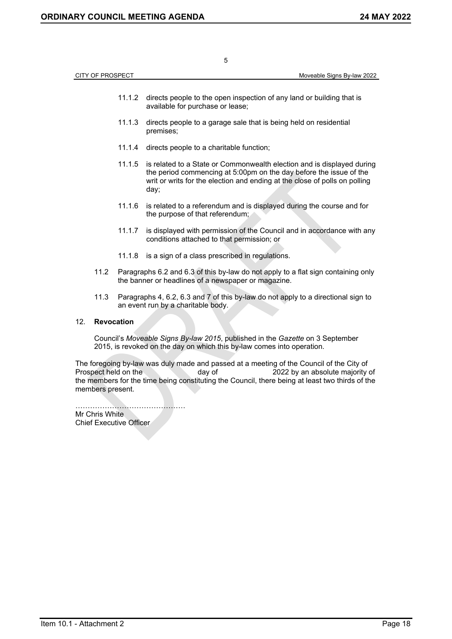|     | <b>CITY OF PROSPECT</b> |        | Moveable Signs By-law 2022                                                                                                                                                                                                         |
|-----|-------------------------|--------|------------------------------------------------------------------------------------------------------------------------------------------------------------------------------------------------------------------------------------|
|     |                         |        |                                                                                                                                                                                                                                    |
|     |                         | 11.1.2 | directs people to the open inspection of any land or building that is<br>available for purchase or lease;                                                                                                                          |
|     |                         | 11.1.3 | directs people to a garage sale that is being held on residential<br>premises;                                                                                                                                                     |
|     |                         | 11.1.4 | directs people to a charitable function;                                                                                                                                                                                           |
|     |                         | 11.1.5 | is related to a State or Commonwealth election and is displayed during<br>the period commencing at 5:00pm on the day before the issue of the<br>writ or writs for the election and ending at the close of polls on polling<br>day; |
|     |                         | 11.1.6 | is related to a referendum and is displayed during the course and for<br>the purpose of that referendum;                                                                                                                           |
|     |                         | 11.1.7 | is displayed with permission of the Council and in accordance with any<br>conditions attached to that permission; or                                                                                                               |
|     |                         | 11.1.8 | is a sign of a class prescribed in regulations.                                                                                                                                                                                    |
|     | 11.2                    |        | Paragraphs 6.2 and 6.3 of this by-law do not apply to a flat sign containing only<br>the banner or headlines of a newspaper or magazine.                                                                                           |
|     | 11.3                    |        | Paragraphs 4, 6.2, 6.3 and 7 of this by-law do not apply to a directional sign to<br>an event run by a charitable body.                                                                                                            |
| 12. | <b>Revocation</b>       |        |                                                                                                                                                                                                                                    |
|     |                         |        | Council's Moveable Signs By-law 2015, published in the Gazette on 3 September<br>2015, is revoked on the day on which this by-law comes into operation.                                                                            |

The foregoing by-law was duly made and passed at a meeting of the Council of the City of<br>Prospect held on the day of 2022 by an absolute majority  $\frac{1}{2022}$  by an absolute majority of the members for the time being constituting the Council, there being at least two thirds of the members present.

……………………………………… Mr Chris White Chief Executive Officer

Item 10.1 - Attachment 2 Page 18

5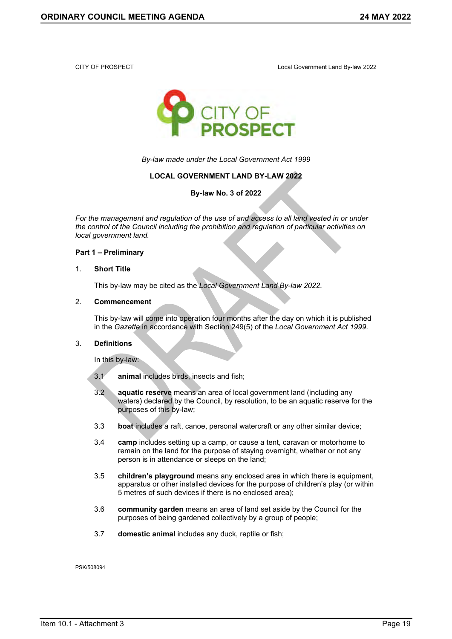<span id="page-15-0"></span>



*By-law made under the Local Government Act 1999*

### **LOCAL GOVERNMENT LAND BY-LAW 2022**

**By-law No. 3 of 2022**

*For the management and regulation of the use of and access to all land vested in or under the control of the Council including the prohibition and regulation of particular activities on local government land.*

#### **Part 1 – Preliminary**

#### 1. **Short Title**

This by-law may be cited as the *Local Government Land By-law 2022*.

#### 2. **Commencement**

This by-law will come into operation four months after the day on which it is published in the *Gazette* in accordance with Section 249(5) of the *Local Government Act 1999*.

### 3. **Definitions**

In this by-law:

- 3.1 **animal** includes birds, insects and fish;
- 3.2 **aquatic reserve** means an area of local government land (including any waters) declared by the Council, by resolution, to be an aquatic reserve for the purposes of this by-law;
- 3.3 **boat** includes a raft, canoe, personal watercraft or any other similar device;
- 3.4 **camp** includes setting up a camp, or cause a tent, caravan or motorhome to remain on the land for the purpose of staying overnight, whether or not any person is in attendance or sleeps on the land;
- 3.5 **children's playground** means any enclosed area in which there is equipment, apparatus or other installed devices for the purpose of children's play (or within 5 metres of such devices if there is no enclosed area);
- 3.6 **community garden** means an area of land set aside by the Council for the purposes of being gardened collectively by a group of people;
- 3.7 **domestic animal** includes any duck, reptile or fish;

PSK/508094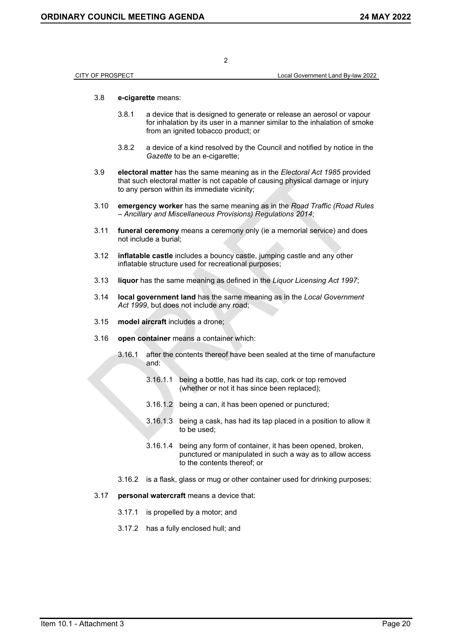| CITY OF PROSPECT | Local Government Land By-law 2022 |
|------------------|-----------------------------------|

### 3.8 **e-cigarette** means:

- 3.8.1 a device that is designed to generate or release an aerosol or vapour for inhalation by its user in a manner similar to the inhalation of smoke from an ignited tobacco product; or
- 3.8.2 a device of a kind resolved by the Council and notified by notice in the *Gazette* to be an e-cigarette;
- 3.9 **electoral matter** has the same meaning as in the *Electoral Act 1985* provided that such electoral matter is not capable of causing physical damage or injury to any person within its immediate vicinity;

2

- 3.10 **emergency worker** has the same meaning as in the *Road Traffic (Road Rules – Ancillary and Miscellaneous Provisions) Regulations 2014*;
- 3.11 **funeral ceremony** means a ceremony only (ie a memorial service) and does not include a burial;
- 3.12 **inflatable castle** includes a bouncy castle, jumping castle and any other inflatable structure used for recreational purposes;
- 3.13 **liquor** has the same meaning as defined in the *Liquor Licensing Act 1997*;
- 3.14 **local government land** has the same meaning as in the *Local Government Act 1999*, but does not include any road;
- 3.15 **model aircraft** includes a drone;
- 3.16 **open container** means a container which:
	- 3.16.1 after the contents thereof have been sealed at the time of manufacture and:
		- 3.16.1.1 being a bottle, has had its cap, cork or top removed (whether or not it has since been replaced);
		- 3.16.1.2 being a can, it has been opened or punctured;
		- 3.16.1.3 being a cask, has had its tap placed in a position to allow it to be used;
		- 3.16.1.4 being any form of container, it has been opened, broken, punctured or manipulated in such a way as to allow access to the contents thereof; or
	- 3.16.2 is a flask, glass or mug or other container used for drinking purposes;
- 3.17 **personal watercraft** means a device that:
	- 3.17.1 is propelled by a motor; and
	- 3.17.2 has a fully enclosed hull; and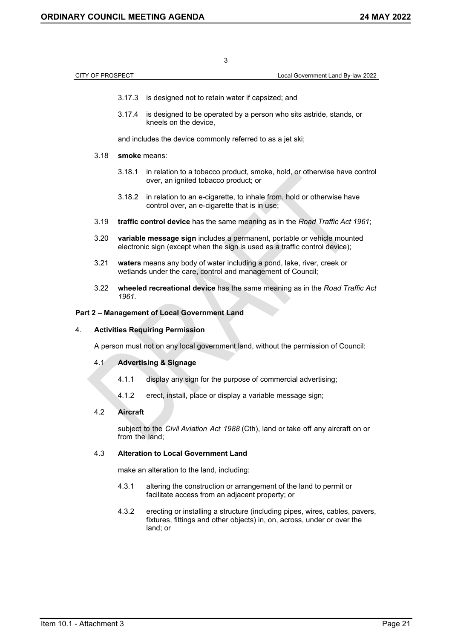| <b>CITY OF PROSPECT</b> |                                                                                                                                                        | Local Government Land By-law 2022 |
|-------------------------|--------------------------------------------------------------------------------------------------------------------------------------------------------|-----------------------------------|
|                         |                                                                                                                                                        |                                   |
| 3.17.3                  | is designed not to retain water if capsized; and                                                                                                       |                                   |
| 3.17.4                  | is designed to be operated by a person who sits astride, stands, or<br>kneels on the device,                                                           |                                   |
|                         | and includes the device commonly referred to as a jet ski;                                                                                             |                                   |
| 3.18                    | smoke means:                                                                                                                                           |                                   |
| 3.18.1                  | in relation to a tobacco product, smoke, hold, or otherwise have control<br>over, an ignited tobacco product; or                                       |                                   |
| 3.18.2                  | in relation to an e-cigarette, to inhale from, hold or otherwise have<br>control over, an e-cigarette that is in use;                                  |                                   |
| 3.19                    | traffic control device has the same meaning as in the Road Traffic Act 1961;                                                                           |                                   |
| 3.20                    | variable message sign includes a permanent, portable or vehicle mounted<br>electronic sign (except when the sign is used as a traffic control device); |                                   |
| 3.21                    | waters means any body of water including a pond, lake, river, creek or<br>wetlands under the care, control and management of Council;                  |                                   |
| 3.22<br>1961.           | wheeled recreational device has the same meaning as in the Road Traffic Act                                                                            |                                   |

## **Part 2 – Management of Local Government Land**

### 4. **Activities Requiring Permission**

A person must not on any local government land, without the permission of Council:

### 4.1 **Advertising & Signage**

- 4.1.1 display any sign for the purpose of commercial advertising;
- 4.1.2 erect, install, place or display a variable message sign;

# 4.2 **Aircraft**

subject to the *Civil Aviation Act 1988* (Cth), land or take off any aircraft on or from the land;

## 4.3 **Alteration to Local Government Land**

make an alteration to the land, including:

- 4.3.1 altering the construction or arrangement of the land to permit or facilitate access from an adjacent property; or
- 4.3.2 erecting or installing a structure (including pipes, wires, cables, pavers, fixtures, fittings and other objects) in, on, across, under or over the land; or

3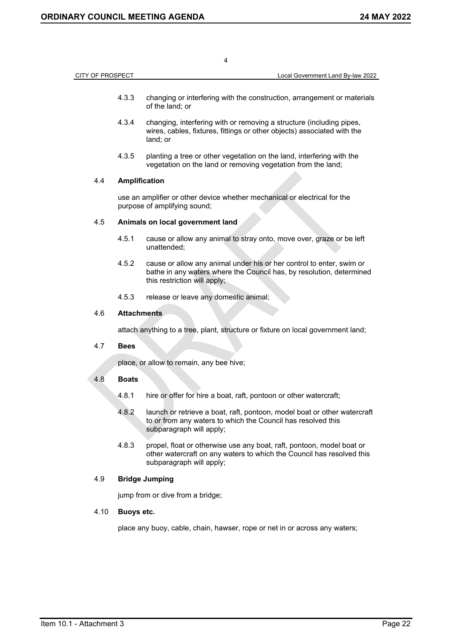CITY OF PROSPECT Local Government Land By-law 2022

4

- 4.3.3 changing or interfering with the construction, arrangement or materials of the land; or
- 4.3.4 changing, interfering with or removing a structure (including pipes, wires, cables, fixtures, fittings or other objects) associated with the land; or
- 4.3.5 planting a tree or other vegetation on the land, interfering with the vegetation on the land or removing vegetation from the land;

### 4.4 **Amplification**

use an amplifier or other device whether mechanical or electrical for the purpose of amplifying sound;

### 4.5 **Animals on local government land**

- 4.5.1 cause or allow any animal to stray onto, move over, graze or be left unattended;
- 4.5.2 cause or allow any animal under his or her control to enter, swim or bathe in any waters where the Council has, by resolution, determined this restriction will apply;
- 4.5.3 release or leave any domestic animal;

### 4.6 **Attachments**

attach anything to a tree, plant, structure or fixture on local government land;

### 4.7 **Bees**

place, or allow to remain, any bee hive;

### 4.8 **Boats**

- 4.8.1 hire or offer for hire a boat, raft, pontoon or other watercraft;
- 4.8.2 launch or retrieve a boat, raft, pontoon, model boat or other watercraft to or from any waters to which the Council has resolved this subparagraph will apply;
- 4.8.3 propel, float or otherwise use any boat, raft, pontoon, model boat or other watercraft on any waters to which the Council has resolved this subparagraph will apply;

### 4.9 **Bridge Jumping**

jump from or dive from a bridge;

### 4.10 **Buoys etc.**

place any buoy, cable, chain, hawser, rope or net in or across any waters;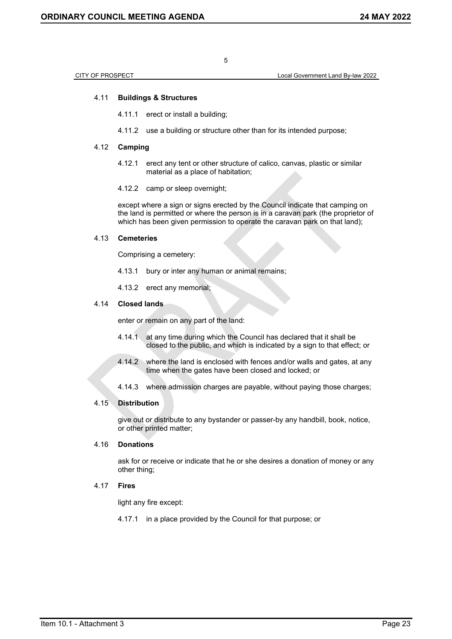CITY OF PROSPECT Local Government Land By-law 2022

### 4.11 **Buildings & Structures**

- 4.11.1 erect or install a building;
- 4.11.2 use a building or structure other than for its intended purpose;

#### 4.12 **Camping**

- 4.12.1 erect any tent or other structure of calico, canvas, plastic or similar material as a place of habitation;
- 4.12.2 camp or sleep overnight;

except where a sign or signs erected by the Council indicate that camping on the land is permitted or where the person is in a caravan park (the proprietor of which has been given permission to operate the caravan park on that land):

#### 4.13 **Cemeteries**

Comprising a cemetery:

- 4.13.1 bury or inter any human or animal remains;
- 4.13.2 erect any memorial;

### 4.14 **Closed lands**

enter or remain on any part of the land:

- 4.14.1 at any time during which the Council has declared that it shall be closed to the public, and which is indicated by a sign to that effect; or
- 4.14.2 where the land is enclosed with fences and/or walls and gates, at any time when the gates have been closed and locked; or
- 4.14.3 where admission charges are payable, without paying those charges;

#### 4.15 **Distribution**

give out or distribute to any bystander or passer-by any handbill, book, notice, or other printed matter;

### 4.16 **Donations**

ask for or receive or indicate that he or she desires a donation of money or any other thing;

#### 4.17 **Fires**

light any fire except:

4.17.1 in a place provided by the Council for that purpose; or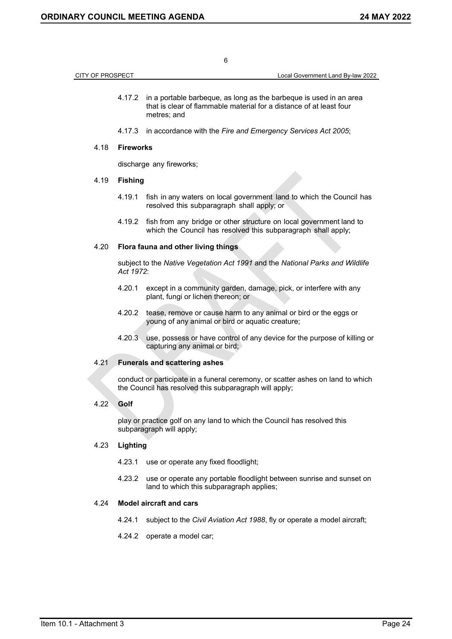| CITY OF PROSPECT |                  | Local Government Land By-law 2022                                                                                                                               |
|------------------|------------------|-----------------------------------------------------------------------------------------------------------------------------------------------------------------|
|                  |                  | 4.17.2 in a portable barbeque, as long as the barbeque is used in an area<br>that is clear of flammable material for a distance of at least four<br>metres; and |
|                  | 4.17.3           | in accordance with the Fire and Emergency Services Act 2005;                                                                                                    |
| 4.18             | <b>Fireworks</b> |                                                                                                                                                                 |
|                  |                  | discharge any fireworks;                                                                                                                                        |
| 4.19             | <b>Fishing</b>   |                                                                                                                                                                 |
|                  | 4.19.1           | fish in any waters on local government land to which the Council has<br>resolved this subparagraph shall apply; or                                              |
|                  | 4.19.2           | fish from any bridge or other structure on local government land to<br>which the Council has resolved this subparagraph shall apply;                            |
| 4.20             |                  | Flora fauna and other living things                                                                                                                             |
|                  | Act 1972:        | subject to the Native Vegetation Act 1991 and the National Parks and Wildlife                                                                                   |
|                  | 4.20.1           | except in a community garden, damage, pick, or interfere with any<br>plant, fungi or lichen thereon; or                                                         |
|                  | 4.20.2           | tease, remove or cause harm to any animal or bird or the eggs or<br>young of any animal or bird or aquatic creature;                                            |
|                  | 4.20.3           | use, possess or have control of any device for the purpose of killing or<br>capturing any animal or bird;                                                       |
| 4.21             |                  | <b>Funerals and scattering ashes</b>                                                                                                                            |
|                  |                  | conduct or participate in a funeral ceremony, or scatter ashes on land to which<br>the Council has resolved this subparagraph will apply;                       |
| 4.22             | Golf             |                                                                                                                                                                 |
|                  |                  | play or practice golf on any land to which the Council has resolved this<br>subparagraph will apply;                                                            |
| 4.23             | Lighting         |                                                                                                                                                                 |
|                  | 4.23.1           | use or operate any fixed floodlight;                                                                                                                            |
|                  | 4.23.2           | use or operate any portable floodlight between sunrise and sunset on<br>land to which this subparagraph applies;                                                |
| 4.24             |                  | <b>Model aircraft and cars</b>                                                                                                                                  |
|                  | 4.24.1           | subject to the Civil Aviation Act 1988, fly or operate a model aircraft;                                                                                        |
|                  | 4.24.2           | operate a model car;                                                                                                                                            |
|                  |                  |                                                                                                                                                                 |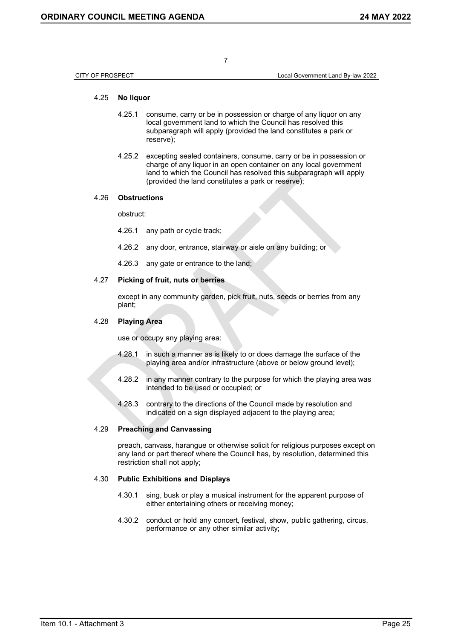CITY OF PROSPECT Local Government Land By-law 2022

### 4.25 **No liquor**

- 4.25.1 consume, carry or be in possession or charge of any liquor on any local government land to which the Council has resolved this subparagraph will apply (provided the land constitutes a park or reserve);
- 4.25.2 excepting sealed containers, consume, carry or be in possession or charge of any liquor in an open container on any local government land to which the Council has resolved this subparagraph will apply (provided the land constitutes a park or reserve);

#### 4.26 **Obstructions**

obstruct:

- 4.26.1 any path or cycle track;
- 4.26.2 any door, entrance, stairway or aisle on any building; or
- 4.26.3 any gate or entrance to the land;

### 4.27 **Picking of fruit, nuts or berries**

except in any community garden, pick fruit, nuts, seeds or berries from any plant;

#### 4.28 **Playing Area**

use or occupy any playing area:

- 4.28.1 in such a manner as is likely to or does damage the surface of the playing area and/or infrastructure (above or below ground level);
- 4.28.2 in any manner contrary to the purpose for which the playing area was intended to be used or occupied; or
- 4.28.3 contrary to the directions of the Council made by resolution and indicated on a sign displayed adjacent to the playing area;

### 4.29 **Preaching and Canvassing**

preach, canvass, harangue or otherwise solicit for religious purposes except on any land or part thereof where the Council has, by resolution, determined this restriction shall not apply;

#### 4.30 **Public Exhibitions and Displays**

- 4.30.1 sing, busk or play a musical instrument for the apparent purpose of either entertaining others or receiving money;
- 4.30.2 conduct or hold any concert, festival, show, public gathering, circus, performance or any other similar activity;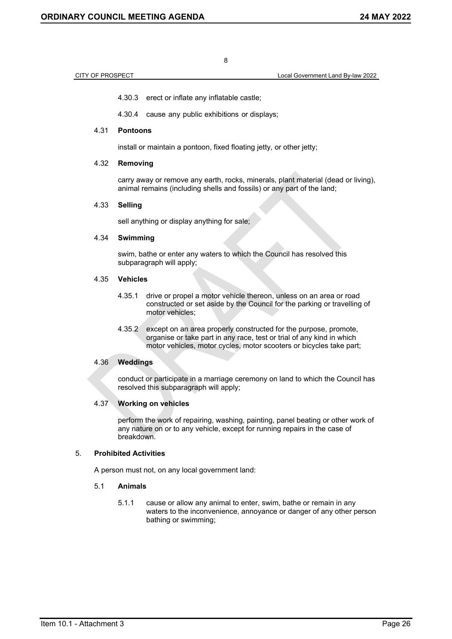CITY OF PROSPECT Local Government Land By-law 2022

4.30.3 erect or inflate any inflatable castle;

4.30.4 cause any public exhibitions or displays;

### 4.31 **Pontoons**

install or maintain a pontoon, fixed floating jetty, or other jetty;

### 4.32 **Removing**

carry away or remove any earth, rocks, minerals, plant material (dead or living), animal remains (including shells and fossils) or any part of the land;

### 4.33 **Selling**

sell anything or display anything for sale;

## 4.34 **Swimming**

swim, bathe or enter any waters to which the Council has resolved this subparagraph will apply:

#### 4.35 **Vehicles**

- 4.35.1 drive or propel a motor vehicle thereon, unless on an area or road constructed or set aside by the Council for the parking or travelling of motor vehicles;
- 4.35.2 except on an area properly constructed for the purpose, promote, organise or take part in any race, test or trial of any kind in which motor vehicles, motor cycles, motor scooters or bicycles take part;

#### 4.36 **Weddings**

conduct or participate in a marriage ceremony on land to which the Council has resolved this subparagraph will apply;

### 4.37 **Working on vehicles**

perform the work of repairing, washing, painting, panel beating or other work of any nature on or to any vehicle, except for running repairs in the case of breakdown.

### 5. **Prohibited Activities**

A person must not, on any local government land:

### 5.1 **Animals**

5.1.1 cause or allow any animal to enter, swim, bathe or remain in any waters to the inconvenience, annoyance or danger of any other person bathing or swimming;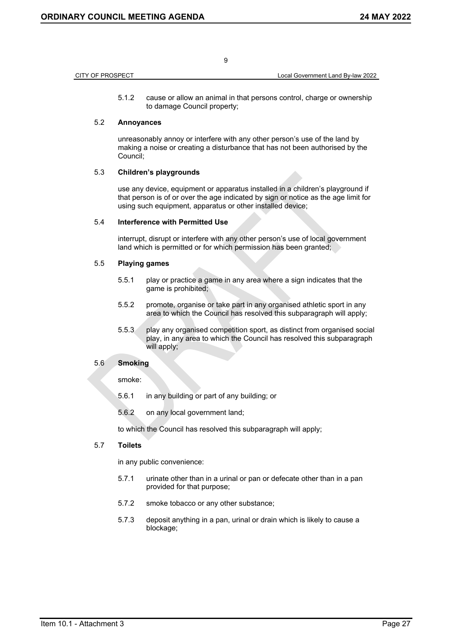| CITY OF PROSPECT |  |
|------------------|--|

5.1.2 cause or allow an animal in that persons control, charge or ownership to damage Council property;

9

### 5.2 **Annoyances**

unreasonably annoy or interfere with any other person's use of the land by making a noise or creating a disturbance that has not been authorised by the Council;

### 5.3 **Children's playgrounds**

use any device, equipment or apparatus installed in a children's playground if that person is of or over the age indicated by sign or notice as the age limit for using such equipment, apparatus or other installed device;

#### 5.4 **Interference with Permitted Use**

interrupt, disrupt or interfere with any other person's use of local government land which is permitted or for which permission has been granted;

### 5.5 **Playing games**

- 5.5.1 play or practice a game in any area where a sign indicates that the game is prohibited;
- 5.5.2 promote, organise or take part in any organised athletic sport in any area to which the Council has resolved this subparagraph will apply;
- 5.5.3 play any organised competition sport, as distinct from organised social play, in any area to which the Council has resolved this subparagraph will apply;

### 5.6 **Smoking**

smoke:

- 5.6.1 in any building or part of any building; or
- 5.6.2 on any local government land;

to which the Council has resolved this subparagraph will apply;

### 5.7 **Toilets**

in any public convenience:

- 5.7.1 urinate other than in a urinal or pan or defecate other than in a pan provided for that purpose;
- 5.7.2 smoke tobacco or any other substance;
- 5.7.3 deposit anything in a pan, urinal or drain which is likely to cause a blockage;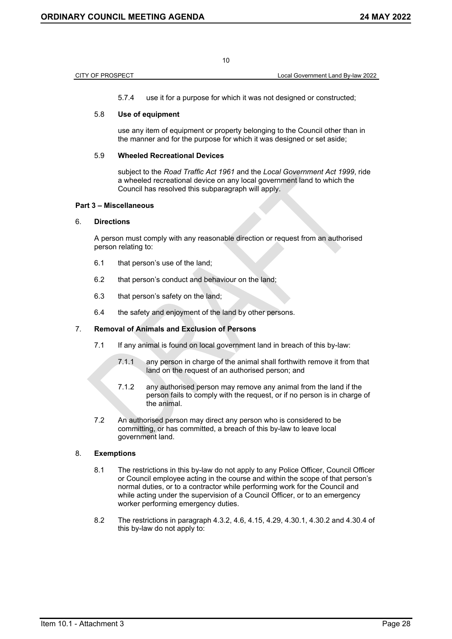5.7.4 use it for a purpose for which it was not designed or constructed;

### 5.8 **Use of equipment**

use any item of equipment or property belonging to the Council other than in the manner and for the purpose for which it was designed or set aside;

### 5.9 **Wheeled Recreational Devices**

subject to the *Road Traffic Act 1961* and the *Local Government Act 1999*, ride a wheeled recreational device on any local government land to which the Council has resolved this subparagraph will apply.

### **Part 3 – Miscellaneous**

### 6. **Directions**

A person must comply with any reasonable direction or request from an authorised person relating to:

- 6.1 that person's use of the land;
- 6.2 that person's conduct and behaviour on the land;
- 6.3 that person's safety on the land;
- 6.4 the safety and enjoyment of the land by other persons.

### 7. **Removal of Animals and Exclusion of Persons**

- 7.1 If any animal is found on local government land in breach of this by-law:
	- 7.1.1 any person in charge of the animal shall forthwith remove it from that land on the request of an authorised person; and
	- 7.1.2 any authorised person may remove any animal from the land if the person fails to comply with the request, or if no person is in charge of the animal.
- 7.2 An authorised person may direct any person who is considered to be committing, or has committed, a breach of this by-law to leave local government land.

### 8. **Exemptions**

- 8.1 The restrictions in this by-law do not apply to any Police Officer, Council Officer or Council employee acting in the course and within the scope of that person's normal duties, or to a contractor while performing work for the Council and while acting under the supervision of a Council Officer, or to an emergency worker performing emergency duties.
- 8.2 The restrictions in paragraph 4.3.2, 4.6, 4.15, 4.29, 4.30.1, 4.30.2 and 4.30.4 of this by-law do not apply to: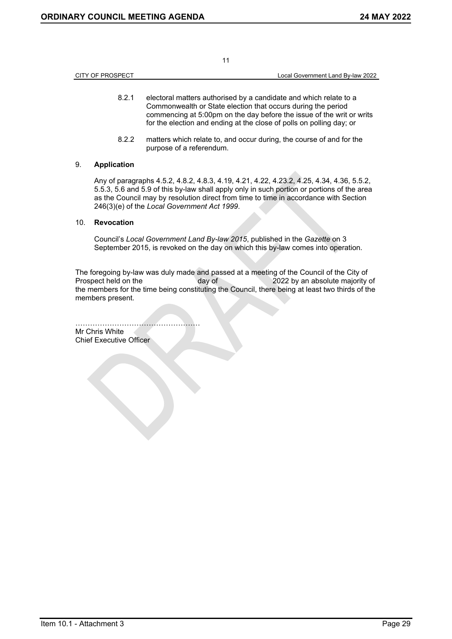|                  | 11 |                                   |
|------------------|----|-----------------------------------|
| CITY OF PROSPECT |    | Local Government Land By-law 2022 |
|                  |    |                                   |

- 8.2.1 electoral matters authorised by a candidate and which relate to a Commonwealth or State election that occurs during the period commencing at 5:00pm on the day before the issue of the writ or writs for the election and ending at the close of polls on polling day; or
- 8.2.2 matters which relate to, and occur during, the course of and for the purpose of a referendum.

### 9. **Application**

Any of paragraphs 4.5.2, 4.8.2, 4.8.3, 4.19, 4.21, 4.22, 4.23.2, 4.25, 4.34, 4.36, 5.5.2, 5.5.3, 5.6 and 5.9 of this by-law shall apply only in such portion or portions of the area as the Council may by resolution direct from time to time in accordance with Section 246(3)(e) of the *Local Government Act 1999*.

### 10. **Revocation**

Council's *Local Government Land By-law 2015*, published in the *Gazette* on 3 September 2015, is revoked on the day on which this by-law comes into operation.

The foregoing by-law was duly made and passed at a meeting of the Council of the City of Prospect held on the day of 2022 by an absolute majority of the members for the time being constituting the Council, there being at least two thirds of the members present.

…………………………………………… Mr Chris White Chief Executive Officer

Item 10.1 - Attachment 3 Page 29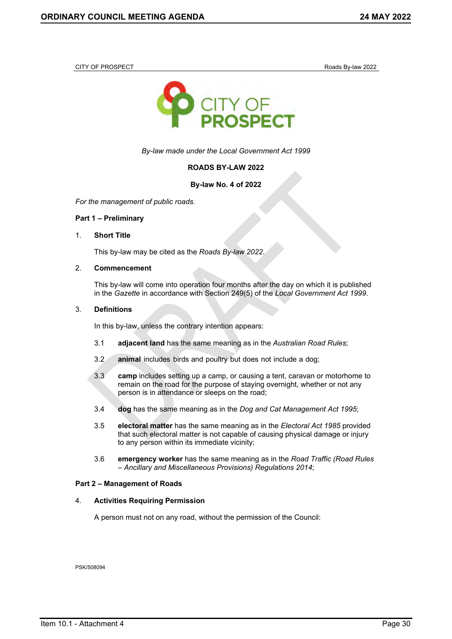<span id="page-26-0"></span>CITY OF PROSPECT ROADS AND ROADS BY-law 2022



*By-law made under the Local Government Act 1999*

### **ROADS BY-LAW 2022**

### **By-law No. 4 of 2022**

*For the management of public roads.*

#### **Part 1 – Preliminary**

#### 1. **Short Title**

This by-law may be cited as the *Roads By-law 2022*.

#### 2. **Commencement**

This by-law will come into operation four months after the day on which it is published in the *Gazette* in accordance with Section 249(5) of the *Local Government Act 1999*.

#### 3. **Definitions**

In this by-law, unless the contrary intention appears:

- 3.1 **adjacent land** has the same meaning as in the *Australian Road Rules*;
- 3.2 **animal** includes birds and poultry but does not include a dog;
- 3.3 **camp** includes setting up a camp, or causing a tent, caravan or motorhome to remain on the road for the purpose of staying overnight, whether or not any person is in attendance or sleeps on the road;
- 3.4 **dog** has the same meaning as in the *Dog and Cat Management Act 1995*;
- 3.5 **electoral matter** has the same meaning as in the *Electoral Act 1985* provided that such electoral matter is not capable of causing physical damage or injury to any person within its immediate vicinity;
- 3.6 **emergency worker** has the same meaning as in the *Road Traffic (Road Rules – Ancillary and Miscellaneous Provisions) Regulations 2014*;

#### **Part 2 – Management of Roads**

#### 4. **Activities Requiring Permission**

A person must not on any road, without the permission of the Council:

PSK/508094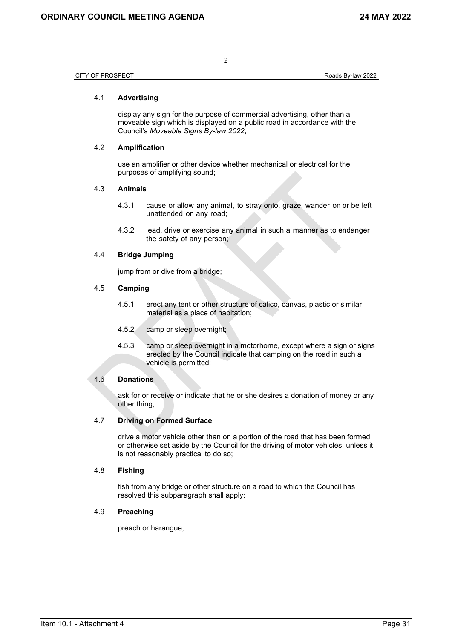CITY OF PROSPECT **ROBER CITY OF PROSPECT Roads** By-law 2022

### 4.1 **Advertising**

display any sign for the purpose of commercial advertising, other than a moveable sign which is displayed on a public road in accordance with the Council's *Moveable Signs By-law 2022*;

### 4.2 **Amplification**

use an amplifier or other device whether mechanical or electrical for the purposes of amplifying sound;

### 4.3 **Animals**

- 4.3.1 cause or allow any animal, to stray onto, graze, wander on or be left unattended on any road;
- 4.3.2 lead, drive or exercise any animal in such a manner as to endanger the safety of any person;

### 4.4 **Bridge Jumping**

jump from or dive from a bridge;

### 4.5 **Camping**

- 4.5.1 erect any tent or other structure of calico, canvas, plastic or similar material as a place of habitation;
- 4.5.2 camp or sleep overnight;
- 4.5.3 camp or sleep overnight in a motorhome, except where a sign or signs erected by the Council indicate that camping on the road in such a vehicle is permitted;

### 4.6 **Donations**

ask for or receive or indicate that he or she desires a donation of money or any other thing;

## 4.7 **Driving on Formed Surface**

drive a motor vehicle other than on a portion of the road that has been formed or otherwise set aside by the Council for the driving of motor vehicles, unless it is not reasonably practical to do so;

### 4.8 **Fishing**

fish from any bridge or other structure on a road to which the Council has resolved this subparagraph shall apply;

## 4.9 **Preaching**

preach or harangue;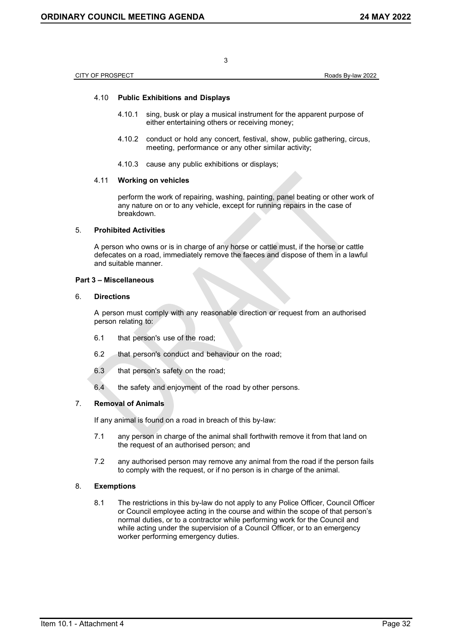CITY OF PROSPECT **Roads** By-law 2022

### 4.10 **Public Exhibitions and Displays**

4.10.1 sing, busk or play a musical instrument for the apparent purpose of either entertaining others or receiving money;

3

- 4.10.2 conduct or hold any concert, festival, show, public gathering, circus, meeting, performance or any other similar activity;
- 4.10.3 cause any public exhibitions or displays;

#### 4.11 **Working on vehicles**

perform the work of repairing, washing, painting, panel beating or other work of any nature on or to any vehicle, except for running repairs in the case of breakdown.

### 5. **Prohibited Activities**

A person who owns or is in charge of any horse or cattle must, if the horse or cattle defecates on a road, immediately remove the faeces and dispose of them in a lawful and suitable manner.

### **Part 3 – Miscellaneous**

#### 6. **Directions**

A person must comply with any reasonable direction or request from an authorised person relating to:

- 6.1 that person's use of the road;
- 6.2 that person's conduct and behaviour on the road;
- 6.3 that person's safety on the road;
- 6.4 the safety and enjoyment of the road by other persons.

### 7. **Removal of Animals**

If any animal is found on a road in breach of this by-law:

- 7.1 any person in charge of the animal shall forthwith remove it from that land on the request of an authorised person; and
- 7.2 any authorised person may remove any animal from the road if the person fails to comply with the request, or if no person is in charge of the animal.

### 8. **Exemptions**

8.1 The restrictions in this by-law do not apply to any Police Officer, Council Officer or Council employee acting in the course and within the scope of that person's normal duties, or to a contractor while performing work for the Council and while acting under the supervision of a Council Officer, or to an emergency worker performing emergency duties.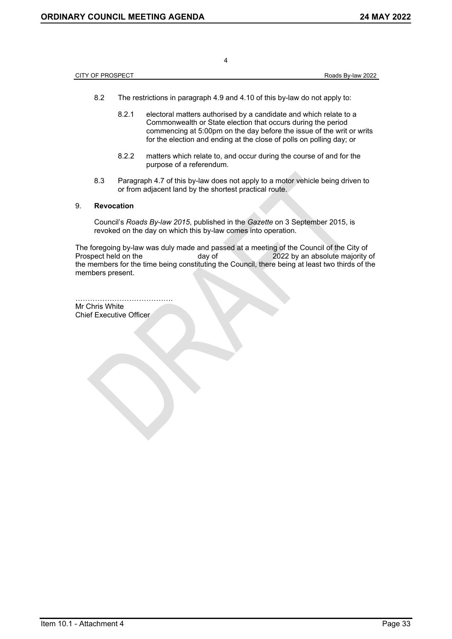| CITY OF PROSPECT<br>Roads By-law 2022 |
|---------------------------------------|
|---------------------------------------|

- 8.2 The restrictions in paragraph 4.9 and 4.10 of this by-law do not apply to:
	- 8.2.1 electoral matters authorised by a candidate and which relate to a Commonwealth or State election that occurs during the period commencing at 5:00pm on the day before the issue of the writ or writs for the election and ending at the close of polls on polling day; or
	- 8.2.2 matters which relate to, and occur during the course of and for the purpose of a referendum.
- 8.3 Paragraph 4.7 of this by-law does not apply to a motor vehicle being driven to or from adjacent land by the shortest practical route.

### 9. **Revocation**

Council's *Roads By-law 2015*, published in the *Gazette* on 3 September 2015, is revoked on the day on which this by-law comes into operation.

The foregoing by-law was duly made and passed at a meeting of the Council of the City of<br>Prospect held on the day of 2022 by an absolute maiority 2022 by an absolute majority of the members for the time being constituting the Council, there being at least two thirds of the members present.

…………………………………. Mr Chris White Chief Executive Officer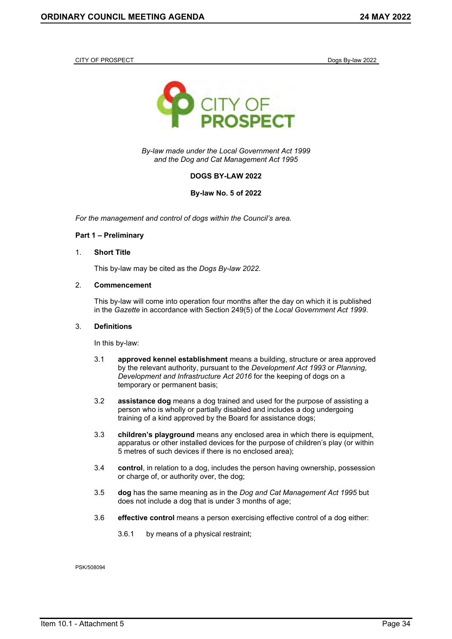<span id="page-30-0"></span>CITY OF PROSPECT **Dogs By-law 2022** 



*By-law made under the Local Government Act 1999 and the Dog and Cat Management Act 1995*

### **DOGS BY-LAW 2022**

**By-law No. 5 of 2022**

*For the management and control of dogs within the Council's area.*

#### **Part 1 – Preliminary**

#### 1. **Short Title**

This by-law may be cited as the *Dogs By-law 2022*.

#### 2. **Commencement**

This by-law will come into operation four months after the day on which it is published in the *Gazette* in accordance with Section 249(5) of the *Local Government Act 1999*.

#### 3. **Definitions**

In this by-law:

- 3.1 **approved kennel establishment** means a building, structure or area approved by the relevant authority, pursuant to the *Development Act 1993* or *Planning, Development and Infrastructure Act 2016* for the keeping of dogs on a temporary or permanent basis;
- 3.2 **assistance dog** means a dog trained and used for the purpose of assisting a person who is wholly or partially disabled and includes a dog undergoing training of a kind approved by the Board for assistance dogs;
- 3.3 **children's playground** means any enclosed area in which there is equipment, apparatus or other installed devices for the purpose of children's play (or within 5 metres of such devices if there is no enclosed area);
- 3.4 **control**, in relation to a dog, includes the person having ownership, possession or charge of, or authority over, the dog;
- 3.5 **dog** has the same meaning as in the *Dog and Cat Management Act 1995* but does not include a dog that is under 3 months of age;
- 3.6 **effective control** means a person exercising effective control of a dog either:
	- 3.6.1 by means of a physical restraint;

PSK/508094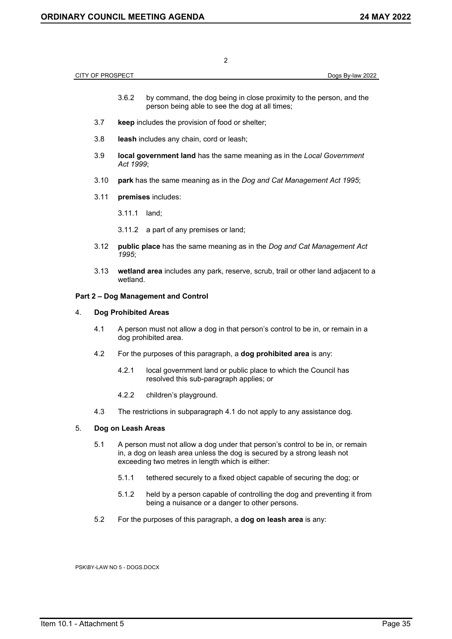|    |                         |           | <b>ORDINARY COUNCIL MEETING AGENDA</b><br>24 MAY 2022                                                                                                                                                       |
|----|-------------------------|-----------|-------------------------------------------------------------------------------------------------------------------------------------------------------------------------------------------------------------|
|    |                         |           |                                                                                                                                                                                                             |
|    |                         |           | $\overline{2}$                                                                                                                                                                                              |
|    | <b>CITY OF PROSPECT</b> |           | Dogs By-law 2022                                                                                                                                                                                            |
|    |                         | 3.6.2     | by command, the dog being in close proximity to the person, and the<br>person being able to see the dog at all times;                                                                                       |
|    | 3.7                     |           | keep includes the provision of food or shelter;                                                                                                                                                             |
|    | 3.8                     |           | leash includes any chain, cord or leash;                                                                                                                                                                    |
|    | 3.9                     | Act 1999; | local government land has the same meaning as in the Local Government                                                                                                                                       |
|    | 3.10                    |           | park has the same meaning as in the Dog and Cat Management Act 1995;                                                                                                                                        |
|    | 3.11                    |           | premises includes:                                                                                                                                                                                          |
|    |                         | 3.11.1    | land;                                                                                                                                                                                                       |
|    |                         | 3.11.2    | a part of any premises or land;                                                                                                                                                                             |
|    | 3.12                    | 1995;     | public place has the same meaning as in the Dog and Cat Management Act                                                                                                                                      |
|    | 3.13                    | wetland.  | wetland area includes any park, reserve, scrub, trail or other land adjacent to a                                                                                                                           |
|    |                         |           | Part 2 - Dog Management and Control                                                                                                                                                                         |
| 4. |                         |           | <b>Dog Prohibited Areas</b>                                                                                                                                                                                 |
|    | 4.1                     |           | A person must not allow a dog in that person's control to be in, or remain in a<br>dog prohibited area.                                                                                                     |
|    | 4.2                     |           | For the purposes of this paragraph, a dog prohibited area is any:                                                                                                                                           |
|    |                         | 4.2.1     | local government land or public place to which the Council has<br>resolved this sub-paragraph applies; or                                                                                                   |
|    |                         | 4.2.2     | children's playground.                                                                                                                                                                                      |
|    | 4.3                     |           | The restrictions in subparagraph 4.1 do not apply to any assistance dog.                                                                                                                                    |
| 5. |                         |           | Dog on Leash Areas                                                                                                                                                                                          |
|    | 5.1                     |           | A person must not allow a dog under that person's control to be in, or remain<br>in, a dog on leash area unless the dog is secured by a strong leash not<br>exceeding two metres in length which is either: |
|    |                         | 5.1.1     | tethered securely to a fixed object capable of securing the dog; or                                                                                                                                         |
|    |                         | 5.1.2     | held by a person capable of controlling the dog and preventing it from<br>being a nuisance or a danger to other persons.                                                                                    |
|    | 5.2                     |           | For the purposes of this paragraph, a dog on leash area is any:                                                                                                                                             |

PSK\BY-LAW NO 5 - DOGS.DOCX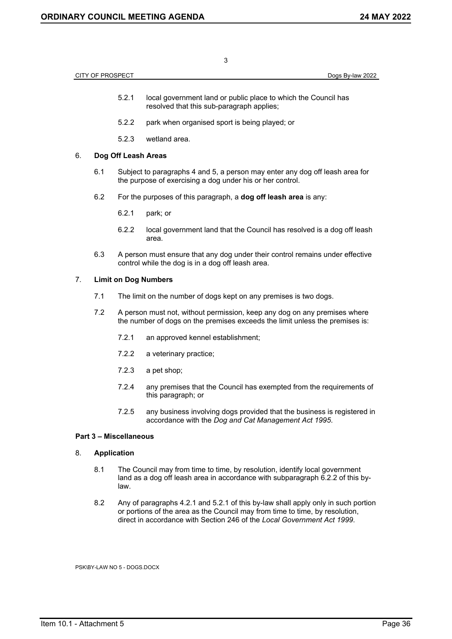| 3                                    |     |                                                                                                                                                                                                                                              |                                                                                                                                                           |  |  |  |
|--------------------------------------|-----|----------------------------------------------------------------------------------------------------------------------------------------------------------------------------------------------------------------------------------------------|-----------------------------------------------------------------------------------------------------------------------------------------------------------|--|--|--|
| CITY OF PROSPECT<br>Dogs By-law 2022 |     |                                                                                                                                                                                                                                              |                                                                                                                                                           |  |  |  |
|                                      |     | 5.2.1                                                                                                                                                                                                                                        | local government land or public place to which the Council has<br>resolved that this sub-paragraph applies;                                               |  |  |  |
|                                      |     | 5.2.2                                                                                                                                                                                                                                        | park when organised sport is being played; or                                                                                                             |  |  |  |
|                                      |     | 5.2.3                                                                                                                                                                                                                                        | wetland area.                                                                                                                                             |  |  |  |
| 6.                                   |     | Dog Off Leash Areas                                                                                                                                                                                                                          |                                                                                                                                                           |  |  |  |
|                                      | 6.1 | Subject to paragraphs 4 and 5, a person may enter any dog off leash area for<br>the purpose of exercising a dog under his or her control.                                                                                                    |                                                                                                                                                           |  |  |  |
|                                      | 6.2 |                                                                                                                                                                                                                                              | For the purposes of this paragraph, a dog off leash area is any:                                                                                          |  |  |  |
|                                      |     | 6.2.1                                                                                                                                                                                                                                        | park; or                                                                                                                                                  |  |  |  |
|                                      |     | 6.2.2                                                                                                                                                                                                                                        | local government land that the Council has resolved is a dog off leash<br>area.                                                                           |  |  |  |
|                                      | 6.3 |                                                                                                                                                                                                                                              | A person must ensure that any dog under their control remains under effective<br>control while the dog is in a dog off leash area.                        |  |  |  |
| 7.                                   |     | <b>Limit on Dog Numbers</b>                                                                                                                                                                                                                  |                                                                                                                                                           |  |  |  |
|                                      | 7.1 | The limit on the number of dogs kept on any premises is two dogs.                                                                                                                                                                            |                                                                                                                                                           |  |  |  |
|                                      | 7.2 |                                                                                                                                                                                                                                              | A person must not, without permission, keep any dog on any premises where<br>the number of dogs on the premises exceeds the limit unless the premises is: |  |  |  |
|                                      |     | 7.2.1                                                                                                                                                                                                                                        | an approved kennel establishment;                                                                                                                         |  |  |  |
|                                      |     | 7.2.2                                                                                                                                                                                                                                        | a veterinary practice;                                                                                                                                    |  |  |  |
|                                      |     | 7.2.3                                                                                                                                                                                                                                        | a pet shop;                                                                                                                                               |  |  |  |
|                                      |     | 7.2.4                                                                                                                                                                                                                                        | any premises that the Council has exempted from the requirements of<br>this paragraph; or                                                                 |  |  |  |
|                                      |     | 7.2.5                                                                                                                                                                                                                                        | any business involving dogs provided that the business is registered in<br>accordance with the Dog and Cat Management Act 1995.                           |  |  |  |
| <b>Part 3 - Miscellaneous</b>        |     |                                                                                                                                                                                                                                              |                                                                                                                                                           |  |  |  |
| 8.                                   |     | <b>Application</b>                                                                                                                                                                                                                           |                                                                                                                                                           |  |  |  |
|                                      | 8.1 | The Council may from time to time, by resolution, identify local government<br>land as a dog off leash area in accordance with subparagraph 6.2.2 of this by-<br>law.                                                                        |                                                                                                                                                           |  |  |  |
| 8.2                                  |     | Any of paragraphs 4.2.1 and 5.2.1 of this by-law shall apply only in such portion<br>or portions of the area as the Council may from time to time, by resolution,<br>direct in accordance with Section 246 of the Local Government Act 1999. |                                                                                                                                                           |  |  |  |
| PSK\BY-LAW NO 5 - DOGS.DOCX          |     |                                                                                                                                                                                                                                              |                                                                                                                                                           |  |  |  |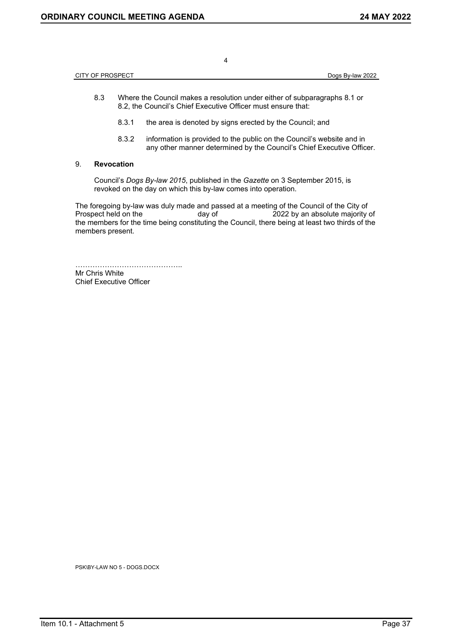CITY OF PROSPECT Dogs By-law 2022

4

- 8.3 Where the Council makes a resolution under either of subparagraphs 8.1 or 8.2, the Council's Chief Executive Officer must ensure that:
	- 8.3.1 the area is denoted by signs erected by the Council; and
	- 8.3.2 information is provided to the public on the Council's website and in any other manner determined by the Council's Chief Executive Officer.

### 9. **Revocation**

Council's *Dogs By-law 2015*, published in the *Gazette* on 3 September 2015, is revoked on the day on which this by-law comes into operation.

The foregoing by-law was duly made and passed at a meeting of the Council of the City of<br>Prospect held on the day of 2022 by an absolute majority day of 2022 by an absolute majority of the members for the time being constituting the Council, there being at least two thirds of the members present.

…………………………………….. Mr Chris White Chief Executive Officer

PSK\BY-LAW NO 5 - DOGS.DOCX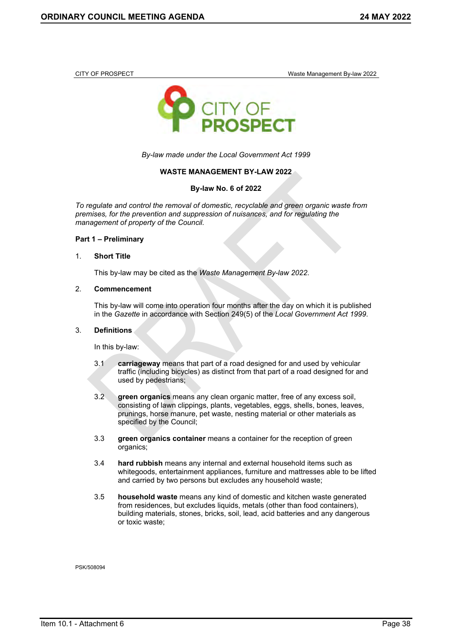<span id="page-34-0"></span>CITY OF PROSPECT **Waste Management By-law 2022** 



*By-law made under the Local Government Act 1999*

### **WASTE MANAGEMENT BY-LAW 2022**

**By-law No. 6 of 2022**

*To regulate and control the removal of domestic, recyclable and green organic waste from premises, for the prevention and suppression of nuisances, and for regulating the management of property of the Council.*

### **Part 1 – Preliminary**

#### 1. **Short Title**

This by-law may be cited as the *Waste Management By-law 2022*.

#### 2. **Commencement**

This by-law will come into operation four months after the day on which it is published in the *Gazette* in accordance with Section 249(5) of the *Local Government Act 1999*.

#### 3. **Definitions**

In this by-law:

- 3.1 **carriageway** means that part of a road designed for and used by vehicular traffic (including bicycles) as distinct from that part of a road designed for and used by pedestrians;
- 3.2 **green organics** means any clean organic matter, free of any excess soil, consisting of lawn clippings, plants, vegetables, eggs, shells, bones, leaves, prunings, horse manure, pet waste, nesting material or other materials as specified by the Council;
- 3.3 **green organics container** means a container for the reception of green organics;
- 3.4 **hard rubbish** means any internal and external household items such as whitegoods, entertainment appliances, furniture and mattresses able to be lifted and carried by two persons but excludes any household waste;
- 3.5 **household waste** means any kind of domestic and kitchen waste generated from residences, but excludes liquids, metals (other than food containers), building materials, stones, bricks, soil, lead, acid batteries and any dangerous or toxic waste;

PSK/508094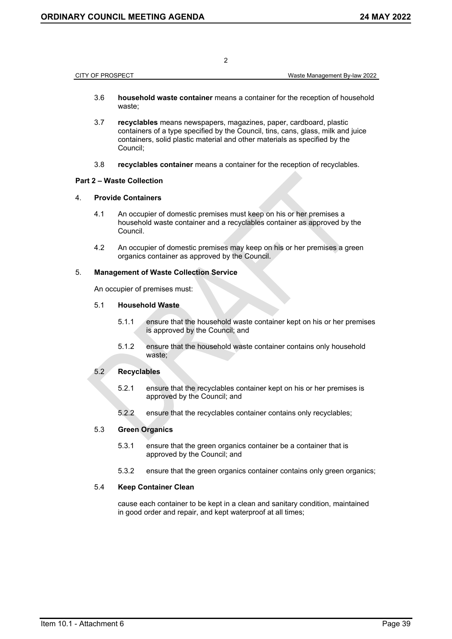CITY OF PROSPECT Waste Management By-law 2022

- 3.6 **household waste container** means a container for the reception of household waste;
- 3.7 **recyclables** means newspapers, magazines, paper, cardboard, plastic containers of a type specified by the Council, tins, cans, glass, milk and juice containers, solid plastic material and other materials as specified by the Council;
- 3.8 **recyclables container** means a container for the reception of recyclables.

### **Part 2 – Waste Collection**

#### 4. **Provide Containers**

- 4.1 An occupier of domestic premises must keep on his or her premises a household waste container and a recyclables container as approved by the Council.
- 4.2 An occupier of domestic premises may keep on his or her premises a green organics container as approved by the Council.

#### 5. **Management of Waste Collection Service**

An occupier of premises must:

### 5.1 **Household Waste**

- 5.1.1 ensure that the household waste container kept on his or her premises is approved by the Council; and
- 5.1.2 ensure that the household waste container contains only household waste;

### 5.2 **Recyclables**

- 5.2.1 ensure that the recyclables container kept on his or her premises is approved by the Council; and
- 5.2.2 ensure that the recyclables container contains only recyclables;

### 5.3 **Green Organics**

- 5.3.1 ensure that the green organics container be a container that is approved by the Council; and
- 5.3.2 ensure that the green organics container contains only green organics;

### 5.4 **Keep Container Clean**

cause each container to be kept in a clean and sanitary condition, maintained in good order and repair, and kept waterproof at all times;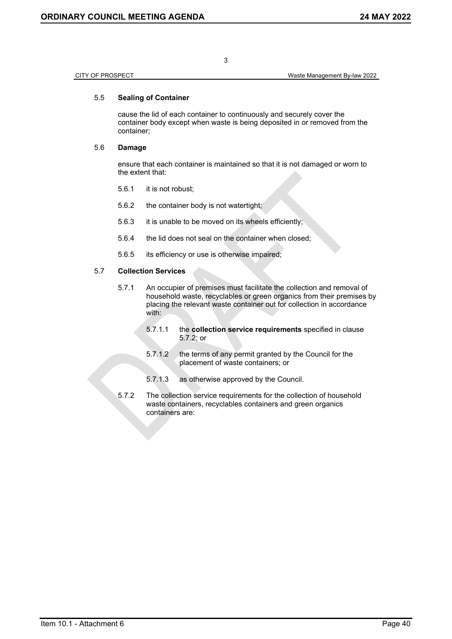CITY OF PROSPECT Waste Management By-law 2022

### 5.5 **Sealing of Container**

cause the lid of each container to continuously and securely cover the container body except when waste is being deposited in or removed from the container;

### 5.6 **Damage**

ensure that each container is maintained so that it is not damaged or worn to the extent that:

- 5.6.1 it is not robust;
- 5.6.2 the container body is not watertight;
- 5.6.3 it is unable to be moved on its wheels efficiently;
- 5.6.4 the lid does not seal on the container when closed;
- 5.6.5 its efficiency or use is otherwise impaired;

### 5.7 **Collection Services**

- 5.7.1 An occupier of premises must facilitate the collection and removal of household waste, recyclables or green organics from their premises by placing the relevant waste container out for collection in accordance with:
	- 5.7.1.1 the **collection service requirements** specified in clause 5.7.2; or
	- 5.7.1.2 the terms of any permit granted by the Council for the placement of waste containers; or
	- 5.7.1.3 as otherwise approved by the Council.
- 5.7.2 The collection service requirements for the collection of household waste containers, recyclables containers and green organics containers are:

3